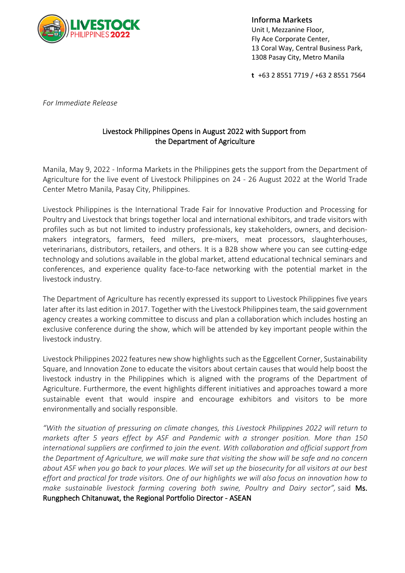

**Informa Markets** Unit I, Mezzanine Floor, Fly Ace Corporate Center, 13 Coral Way, Central Business Park, 1308 Pasay City, Metro Manila

**t** +63 2 8551 7719 / +63 2 8551 7564

*For Immediate Release*

## Livestock Philippines Opens in August 2022 with Support from the Department of Agriculture

Manila, May 9, 2022 - Informa Markets in the Philippines gets the support from the Department of Agriculture for the live event of Livestock Philippines on 24 - 26 August 2022 at the World Trade Center Metro Manila, Pasay City, Philippines.

Livestock Philippines is the International Trade Fair for Innovative Production and Processing for Poultry and Livestock that brings together local and international exhibitors, and trade visitors with profiles such as but not limited to industry professionals, key stakeholders, owners, and decisionmakers integrators, farmers, feed millers, pre-mixers, meat processors, slaughterhouses, veterinarians, distributors, retailers, and others. It is a B2B show where you can see cutting-edge technology and solutions available in the global market, attend educational technical seminars and conferences, and experience quality face-to-face networking with the potential market in the livestock industry.

The Department of Agriculture has recently expressed its support to Livestock Philippines five years later after its last edition in 2017. Together with the Livestock Philippines team, the said government agency creates a working committee to discuss and plan a collaboration which includes hosting an exclusive conference during the show, which will be attended by key important people within the livestock industry.

Livestock Philippines 2022 features new show highlights such as the Eggcellent Corner, Sustainability Square, and Innovation Zone to educate the visitors about certain causes that would help boost the livestock industry in the Philippines which is aligned with the programs of the Department of Agriculture. Furthermore, the event highlights different initiatives and approaches toward a more sustainable event that would inspire and encourage exhibitors and visitors to be more environmentally and socially responsible.

*"With the situation of pressuring on climate changes, this Livestock Philippines 2022 will return to markets after 5 years effect by ASF and Pandemic with a stronger position. More than 150 international suppliers are confirmed to join the event. With collaboration and official support from the Department of Agriculture, we will make sure that visiting the show will be safe and no concern about ASF when you go back to your places. We will set up the biosecurity for all visitors at our best effort and practical for trade visitors. One of our highlights we will also focus on innovation how to make sustainable livestock farming covering both swine, Poultry and Dairy sector",* said Ms. Rungphech Chitanuwat, the Regional Portfolio Director - ASEAN